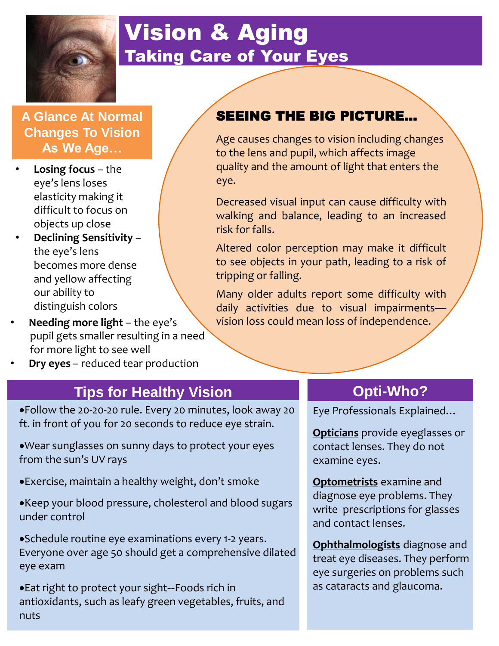

# Vision & Aging Taking Care of Your Eyes

**A Glance At Normal Changes To Vision As We Age…**

- **Losing focus**  the eye's lens loses elasticity making it difficult to focus on objects up close
- **Declining Sensitivity** the eye's lens becomes more dense and yellow affecting our ability to distinguish colors
- **Needing more light** the eye's pupil gets smaller resulting in a need for more light to see well
- **Dry eyes** reduced tear production

## **Tips for Healthy Vision <b>CENTER 19 SIMUSE 10 YOST DR** 10 Opti-Who?

Follow the 20-20-20 rule. Every 20 minutes, look away 20 ft. in front of you for 20 seconds to reduce eye strain.

- Wear sunglasses on sunny days to protect your eyes from the sun's UV rays
- Exercise, maintain a healthy weight, don't smoke
- Keep your blood pressure, cholesterol and blood sugars under control

Schedule routine eye examinations every 1-2 years. Everyone over age 50 should get a comprehensive dilated eye exam

Eat right to protect your sight--Foods rich in antioxidants, such as leafy green vegetables, fruits, and nuts

## SEEING THE BIG PICTURE…

Age causes changes to vision including changes to the lens and pupil, which affects image quality and the amount of light that enters the eye.

Decreased visual input can cause difficulty with walking and balance, leading to an increased risk for falls.

Altered color perception may make it difficult to see objects in your path, leading to a risk of tripping or falling.

Many older adults report some difficulty with daily activities due to visual impairmentsvision loss could mean loss of independence.

Eye Professionals Explained…

**Opticians** provide eyeglasses or contact lenses. They do not examine eyes.

**Optometrists** examine and diagnose eye problems. They write prescriptions for glasses and contact lenses.

**Ophthalmologists** diagnose and treat eye diseases. They perform eye surgeries on problems such as cataracts and glaucoma.